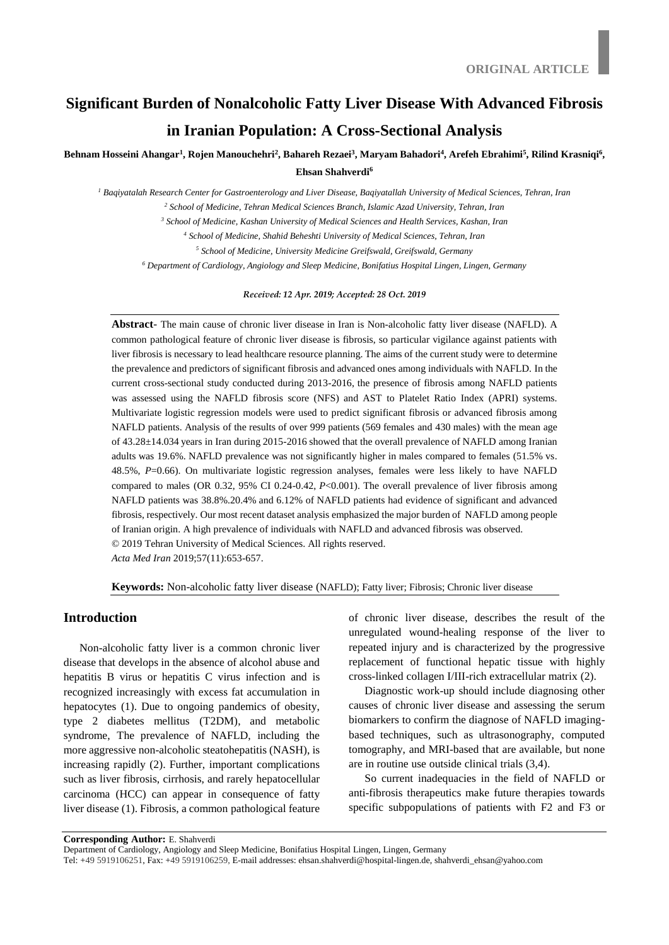# **Significant Burden of Nonalcoholic Fatty Liver Disease With Advanced Fibrosis in Iranian Population: A Cross-Sectional Analysis**

# Behnam Hosseini Ahangar<sup>1</sup>, Rojen Manouchehri<sup>2</sup>, Bahareh Rezaei<sup>3</sup>, Maryam Bahadori<sup>4</sup>, Arefeh Ebrahimi<sup>5</sup>, Rilind Krasniqi<sup>6</sup>, **Ehsan Shahverdi<sup>6</sup>**

*<sup>1</sup> Baqiyatalah Research Center for Gastroenterology and Liver Disease, Baqiyatallah University of Medical Sciences, Tehran, Iran*

*<sup>2</sup> School of Medicine, Tehran Medical Sciences Branch, Islamic Azad University, Tehran, Iran*

*<sup>3</sup> School of Medicine, Kashan University of Medical Sciences and Health Services, Kashan, Iran*

*<sup>4</sup> School of Medicine, Shahid Beheshti University of Medical Sciences, Tehran, Iran*

*<sup>5</sup> School of Medicine, University Medicine Greifswald, Greifswald, Germany*

*<sup>6</sup> Department of Cardiology, Angiology and Sleep Medicine, Bonifatius Hospital Lingen, Lingen, Germany* 

*Received: 12 Apr. 2019; Accepted: 28 Oct. 2019*

**Abstract**- The main cause of chronic liver disease in Iran is Non-alcoholic fatty liver disease (NAFLD). A common pathological feature of chronic liver disease is fibrosis, so particular vigilance against patients with liver fibrosis is necessary to lead healthcare resource planning. The aims of the current study were to determine the prevalence and predictors of significant fibrosis and advanced ones among individuals with NAFLD. In the current cross-sectional study conducted during 2013-2016, the presence of fibrosis among NAFLD patients was assessed using the NAFLD fibrosis score (NFS) and AST to Platelet Ratio Index (APRI) systems. Multivariate logistic regression models were used to predict significant fibrosis or advanced fibrosis among NAFLD patients. Analysis of the results of over 999 patients (569 females and 430 males) with the mean age of 43.28±14.034 years in Iran during 2015-2016 showed that the overall prevalence of NAFLD among Iranian adults was 19.6%. NAFLD prevalence was not significantly higher in males compared to females (51.5% vs. 48.5%, *P*=0.66). On multivariate logistic regression analyses, females were less likely to have NAFLD compared to males (OR 0.32, 95% CI 0.24-0.42, *P*<0.001). The overall prevalence of liver fibrosis among NAFLD patients was 38.8%.20.4% and 6.12% of NAFLD patients had evidence of significant and advanced fibrosis, respectively. Our most recent dataset analysis emphasized the major burden of NAFLD among people of Iranian origin. A high prevalence of individuals with NAFLD and advanced fibrosis was observed. © 2019 Tehran University of Medical Sciences. All rights reserved. *Acta Med Iran* 2019;57(11):653-657.

**Keywords:** Non-alcoholic fatty liver disease (NAFLD); Fatty liver; Fibrosis; Chronic liver disease

## **Introduction**

Non-alcoholic fatty liver is a common chronic liver disease that develops in the absence of alcohol abuse and hepatitis B virus or hepatitis C virus infection and is recognized increasingly with excess fat accumulation in hepatocytes (1). Due to ongoing pandemics of obesity, type 2 diabetes mellitus (T2DM), and metabolic syndrome, The prevalence of NAFLD, including the more aggressive non-alcoholic steatohepatitis (NASH), is increasing rapidly (2). Further, important complications such as liver fibrosis, cirrhosis, and rarely hepatocellular carcinoma (HCC) can appear in consequence of fatty liver disease (1). Fibrosis, a common pathological feature of chronic liver disease, describes the result of the unregulated wound-healing response of the liver to repeated injury and is characterized by the progressive replacement of functional hepatic tissue with highly cross-linked collagen I/III-rich extracellular matrix (2).

Diagnostic work-up should include diagnosing other causes of chronic liver disease and assessing the serum biomarkers to confirm the diagnose of NAFLD imagingbased techniques, such as ultrasonography, computed tomography, and MRI-based that are available, but none are in routine use outside clinical trials (3,4).

So current inadequacies in the field of NAFLD or anti-fibrosis therapeutics make future therapies towards specific subpopulations of patients with F2 and F3 or

**Corresponding Author:** E. Shahverdi

Department of Cardiology, Angiology and Sleep Medicine, Bonifatius Hospital Lingen, Lingen, Germany

Tel: +49 5919106251, Fax: +49 5919106259, E-mail addresses: ehsan.shahverdi@hospital-lingen.de, shahverdi\_ehsan@yahoo.com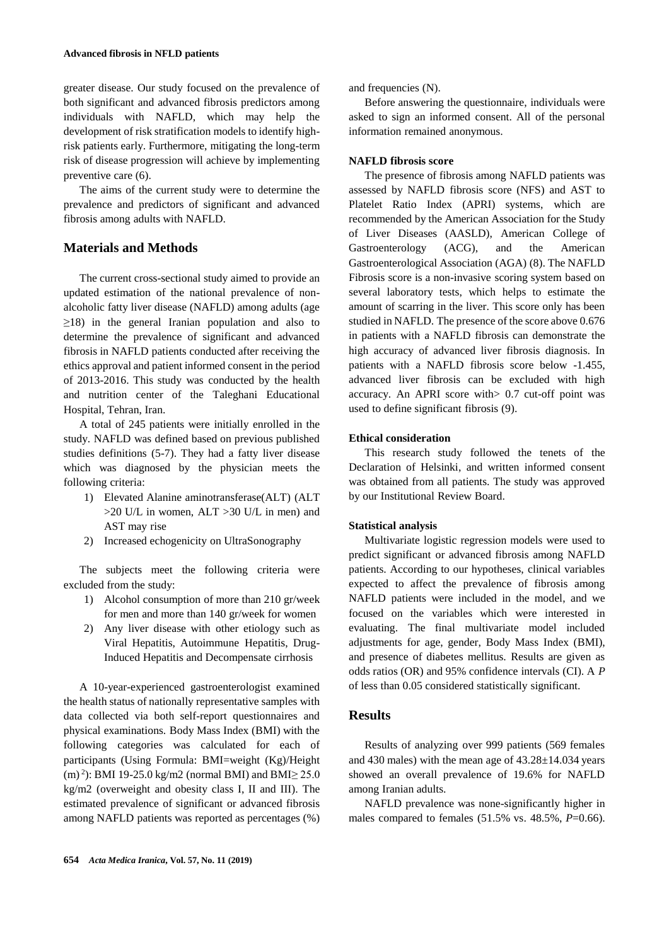greater disease. Our study focused on the prevalence of both significant and advanced fibrosis predictors among individuals with NAFLD, which may help the development of risk stratification models to identify highrisk patients early. Furthermore, mitigating the long-term risk of disease progression will achieve by implementing preventive care (6).

The aims of the current study were to determine the prevalence and predictors of significant and advanced fibrosis among adults with NAFLD.

## **Materials and Methods**

The current cross-sectional study aimed to provide an updated estimation of the national prevalence of nonalcoholic fatty liver disease (NAFLD) among adults (age  $\geq$ 18) in the general Iranian population and also to determine the prevalence of significant and advanced fibrosis in NAFLD patients conducted after receiving the ethics approval and patient informed consent in the period of 2013-2016. This study was conducted by the health and nutrition center of the Taleghani Educational Hospital, Tehran, Iran.

A total of 245 patients were initially enrolled in the study. NAFLD was defined based on previous published studies definitions (5-7). They had a fatty liver disease which was diagnosed by the physician meets the following criteria:

- 1) Elevated Alanine aminotransferase(ALT) (ALT >20 U/L in women, ALT >30 U/L in men) and AST may rise
- 2) Increased echogenicity on UltraSonography

The subjects meet the following criteria were excluded from the study:

- 1) Alcohol consumption of more than 210 gr/week for men and more than 140 gr/week for women
- 2) Any liver disease with other etiology such as Viral Hepatitis, Autoimmune Hepatitis, Drug-Induced Hepatitis and Decompensate cirrhosis

A 10-year-experienced gastroenterologist examined the health status of nationally representative samples with data collected via both self-report questionnaires and physical examinations. Body Mass Index (BMI) with the following categories was calculated for each of participants (Using Formula: BMI=weight (Kg)/Height (m)<sup>2</sup>): BMI 19-25.0 kg/m2 (normal BMI) and BMI $\geq$  25.0 kg/m2 (overweight and obesity class I, II and III). The estimated prevalence of significant or advanced fibrosis among NAFLD patients was reported as percentages (%)

and frequencies (N).

Before answering the questionnaire, individuals were asked to sign an informed consent. All of the personal information remained anonymous.

#### **NAFLD fibrosis score**

The presence of fibrosis among NAFLD patients was assessed by NAFLD fibrosis score (NFS) and AST to Platelet Ratio Index (APRI) systems, which are recommended by the American Association for the Study of Liver Diseases (AASLD), American College of Gastroenterology (ACG), and the American Gastroenterological Association (AGA) (8). The NAFLD Fibrosis score is a non-invasive scoring system based on several laboratory tests, which helps to estimate the amount of scarring in the liver. This score only has been studied in NAFLD. The presence of the score above 0.676 in patients with a NAFLD fibrosis can demonstrate the high accuracy of advanced liver fibrosis diagnosis. In patients with a NAFLD fibrosis score below -1.455, advanced liver fibrosis can be excluded with high accuracy. An APRI score with> 0.7 cut-off point was used to define significant fibrosis (9).

## **Ethical consideration**

This research study followed the tenets of the Declaration of Helsinki, and written informed consent was obtained from all patients. The study was approved by our Institutional Review Board.

#### **Statistical analysis**

Multivariate logistic regression models were used to predict significant or advanced fibrosis among NAFLD patients. According to our hypotheses, clinical variables expected to affect the prevalence of fibrosis among NAFLD patients were included in the model, and we focused on the variables which were interested in evaluating. The final multivariate model included adjustments for age, gender, Body Mass Index (BMI), and presence of diabetes mellitus. Results are given as odds ratios (OR) and 95% confidence intervals (CI). A *P* of less than 0.05 considered statistically significant.

## **Results**

Results of analyzing over 999 patients (569 females and 430 males) with the mean age of 43.28±14.034 years showed an overall prevalence of 19.6% for NAFLD among Iranian adults.

NAFLD prevalence was none-significantly higher in males compared to females (51.5% vs. 48.5%, *P*=0.66).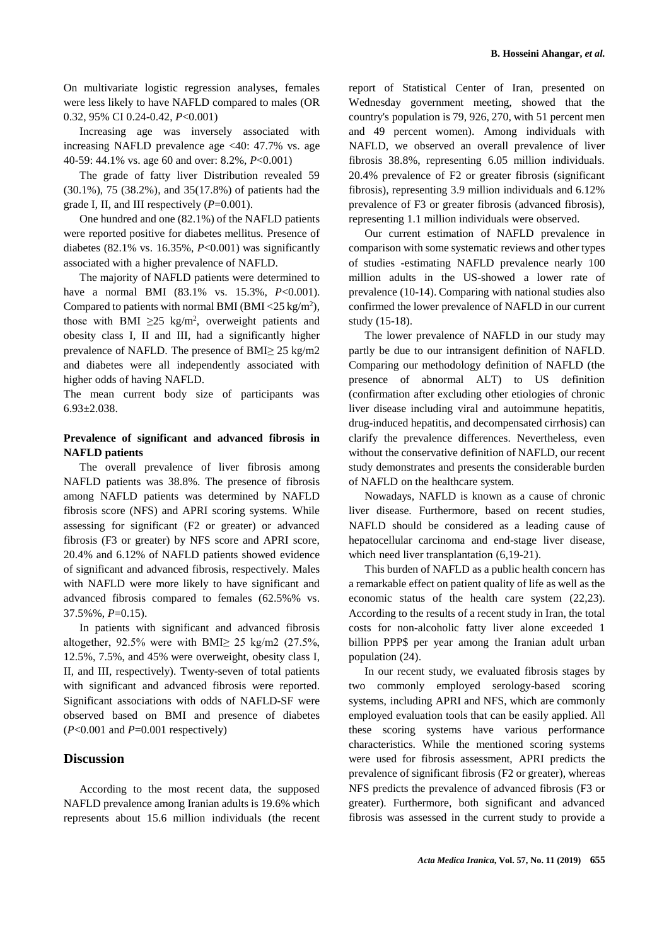On multivariate logistic regression analyses, females were less likely to have NAFLD compared to males (OR 0.32, 95% CI 0.24-0.42, *P*<0.001)

Increasing age was inversely associated with increasing NAFLD prevalence age <40: 47.7% vs. age 40-59: 44.1% vs. age 60 and over: 8.2%, *P*<0.001)

The grade of fatty liver Distribution revealed 59 (30.1%), 75 (38.2%), and 35(17.8%) of patients had the grade I, II, and III respectively (*P*=0.001).

One hundred and one (82.1%) of the NAFLD patients were reported positive for diabetes mellitus. Presence of diabetes (82.1% vs. 16.35%, *P*<0.001) was significantly associated with a higher prevalence of NAFLD.

The majority of NAFLD patients were determined to have a normal BMI (83.1% vs. 15.3%, *P*<0.001). Compared to patients with normal BMI (BMI <25 kg/m<sup>2</sup>), those with BMI  $\geq 25$  kg/m<sup>2</sup>, overweight patients and obesity class I, II and III, had a significantly higher prevalence of NAFLD. The presence of BMI≥ 25 kg/m2 and diabetes were all independently associated with higher odds of having NAFLD.

The mean current body size of participants was 6.93±2.038.

## **Prevalence of significant and advanced fibrosis in NAFLD patients**

The overall prevalence of liver fibrosis among NAFLD patients was 38.8%. The presence of fibrosis among NAFLD patients was determined by NAFLD fibrosis score (NFS) and APRI scoring systems. While assessing for significant (F2 or greater) or advanced fibrosis (F3 or greater) by NFS score and APRI score, 20.4% and 6.12% of NAFLD patients showed evidence of significant and advanced fibrosis, respectively. Males with NAFLD were more likely to have significant and advanced fibrosis compared to females (62.5%% vs. 37.5%%, *P*=0.15).

In patients with significant and advanced fibrosis altogether, 92.5% were with BMI $\geq$  25 kg/m2 (27.5%, 12.5%, 7.5%, and 45% were overweight, obesity class I, II, and III, respectively). Twenty-seven of total patients with significant and advanced fibrosis were reported. Significant associations with odds of NAFLD-SF were observed based on BMI and presence of diabetes (*P*<0.001 and *P*=0.001 respectively)

### **Discussion**

According to the most recent data, the supposed NAFLD prevalence among Iranian adults is 19.6% which represents about 15.6 million individuals (the recent report of Statistical Center of Iran, presented on Wednesday government meeting, showed that the country's population is 79, 926, 270, with 51 percent men and 49 percent women). Among individuals with NAFLD, we observed an overall prevalence of liver fibrosis 38.8%, representing 6.05 million individuals. 20.4% prevalence of F2 or greater fibrosis (significant fibrosis), representing 3.9 million individuals and 6.12% prevalence of F3 or greater fibrosis (advanced fibrosis), representing 1.1 million individuals were observed.

Our current estimation of NAFLD prevalence in comparison with some systematic reviews and other types of studies -estimating NAFLD prevalence nearly 100 million adults in the US-showed a lower rate of prevalence (10-14). Comparing with national studies also confirmed the lower prevalence of NAFLD in our current study (15-18).

The lower prevalence of NAFLD in our study may partly be due to our intransigent definition of NAFLD. Comparing our methodology definition of NAFLD (the presence of abnormal ALT) to US definition (confirmation after excluding other etiologies of chronic liver disease including viral and autoimmune hepatitis, drug-induced hepatitis, and decompensated cirrhosis) can clarify the prevalence differences. Nevertheless, even without the conservative definition of NAFLD, our recent study demonstrates and presents the considerable burden of NAFLD on the healthcare system.

Nowadays, NAFLD is known as a cause of chronic liver disease. Furthermore, based on recent studies, NAFLD should be considered as a leading cause of hepatocellular carcinoma and end-stage liver disease, which need liver transplantation  $(6, 19-21)$ .

This burden of NAFLD as a public health concern has a remarkable effect on patient quality of life as well as the economic status of the health care system (22,23). According to the results of a recent study in Iran, the total costs for non-alcoholic fatty liver alone exceeded 1 billion PPP\$ per year among the Iranian adult urban population (24).

In our recent study, we evaluated fibrosis stages by two commonly employed serology-based scoring systems, including APRI and NFS, which are commonly employed evaluation tools that can be easily applied. All these scoring systems have various performance characteristics. While the mentioned scoring systems were used for fibrosis assessment, APRI predicts the prevalence of significant fibrosis (F2 or greater), whereas NFS predicts the prevalence of advanced fibrosis (F3 or greater). Furthermore, both significant and advanced fibrosis was assessed in the current study to provide a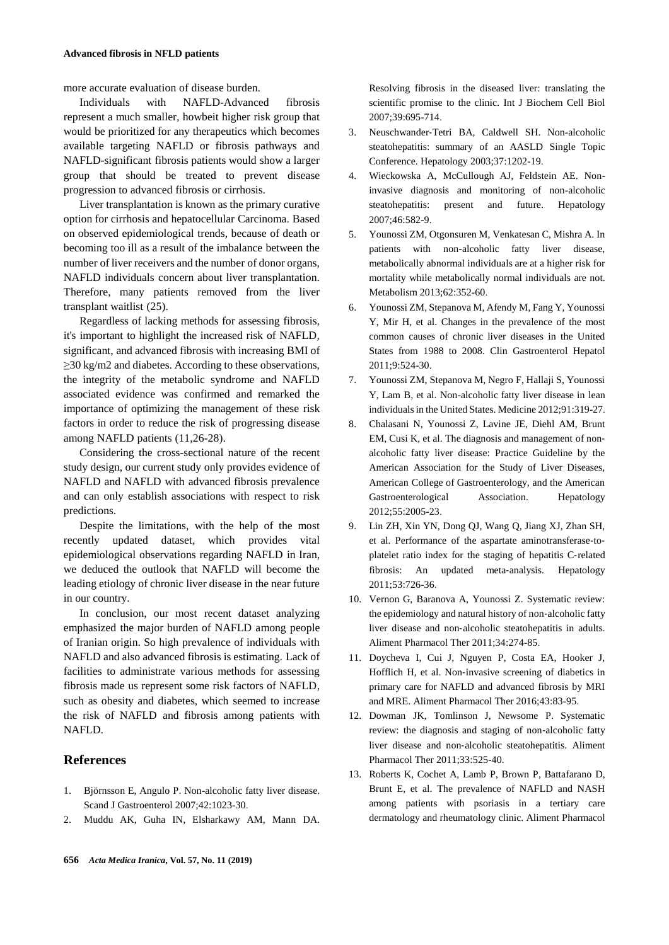more accurate evaluation of disease burden.

Individuals with NAFLD-Advanced fibrosis represent a much smaller, howbeit higher risk group that would be prioritized for any therapeutics which becomes available targeting NAFLD or fibrosis pathways and NAFLD-significant fibrosis patients would show a larger group that should be treated to prevent disease progression to advanced fibrosis or cirrhosis.

Liver transplantation is known as the primary curative option for cirrhosis and hepatocellular Carcinoma. Based on observed epidemiological trends, because of death or becoming too ill as a result of the imbalance between the number of liver receivers and the number of donor organs, NAFLD individuals concern about liver transplantation. Therefore, many patients removed from the liver transplant waitlist (25).

Regardless of lacking methods for assessing fibrosis, it's important to highlight the increased risk of NAFLD, significant, and advanced fibrosis with increasing BMI of ≥30 kg/m2 and diabetes. According to these observations, the integrity of the metabolic syndrome and NAFLD associated evidence was confirmed and remarked the importance of optimizing the management of these risk factors in order to reduce the risk of progressing disease among NAFLD patients (11,26-28).

Considering the cross-sectional nature of the recent study design, our current study only provides evidence of NAFLD and NAFLD with advanced fibrosis prevalence and can only establish associations with respect to risk predictions.

Despite the limitations, with the help of the most recently updated dataset, which provides vital epidemiological observations regarding NAFLD in Iran, we deduced the outlook that NAFLD will become the leading etiology of chronic liver disease in the near future in our country.

In conclusion, our most recent dataset analyzing emphasized the major burden of NAFLD among people of Iranian origin. So high prevalence of individuals with NAFLD and also advanced fibrosis is estimating. Lack of facilities to administrate various methods for assessing fibrosis made us represent some risk factors of NAFLD, such as obesity and diabetes, which seemed to increase the risk of NAFLD and fibrosis among patients with NAFLD.

# **References**

- 1. Björnsson E, Angulo P. Non-alcoholic fatty liver disease. Scand J Gastroenterol 2007;42:1023-30.
- 2. Muddu AK, Guha IN, Elsharkawy AM, Mann DA.

Resolving fibrosis in the diseased liver: translating the scientific promise to the clinic. Int J Biochem Cell Biol 2007;39:695-714.

- 3. Neuschwander‐Tetri BA, Caldwell SH. Non-alcoholic steatohepatitis: summary of an AASLD Single Topic Conference. Hepatology 2003;37:1202-19.
- 4. Wieckowska A, McCullough AJ, Feldstein AE. Noninvasive diagnosis and monitoring of non-alcoholic steatohepatitis: present and future. Hepatology 2007;46:582-9.
- 5. Younossi ZM, Otgonsuren M, Venkatesan C, Mishra A. In patients with non-alcoholic fatty liver disease, metabolically abnormal individuals are at a higher risk for mortality while metabolically normal individuals are not. Metabolism 2013;62:352-60.
- 6. Younossi ZM, Stepanova M, Afendy M, Fang Y, Younossi Y, Mir H, et al. Changes in the prevalence of the most common causes of chronic liver diseases in the United States from 1988 to 2008. Clin Gastroenterol Hepatol 2011;9:524-30.
- 7. Younossi ZM, Stepanova M, Negro F, Hallaji S, Younossi Y, Lam B, et al. Non-alcoholic fatty liver disease in lean individuals in the United States. Medicine 2012;91:319-27.
- 8. Chalasani N, Younossi Z, Lavine JE, Diehl AM, Brunt EM, Cusi K, et al. The diagnosis and management of nonalcoholic fatty liver disease: Practice Guideline by the American Association for the Study of Liver Diseases, American College of Gastroenterology, and the American Gastroenterological Association. Hepatology 2012;55:2005-23.
- 9. Lin ZH, Xin YN, Dong QJ, Wang Q, Jiang XJ, Zhan SH, et al. Performance of the aspartate aminotransferase‐to‐ platelet ratio index for the staging of hepatitis C‐related fibrosis: An updated meta‐analysis. Hepatology 2011;53:726-36.
- 10. Vernon G, Baranova A, Younossi Z. Systematic review: the epidemiology and natural history of non‐alcoholic fatty liver disease and non‐alcoholic steatohepatitis in adults. Aliment Pharmacol Ther 2011;34:274-85.
- 11. Doycheva I, Cui J, Nguyen P, Costa EA, Hooker J, Hofflich H, et al. Non‐invasive screening of diabetics in primary care for NAFLD and advanced fibrosis by MRI and MRE. Aliment Pharmacol Ther 2016;43:83-95.
- 12. Dowman JK, Tomlinson J, Newsome P. Systematic review: the diagnosis and staging of non‐alcoholic fatty liver disease and non‐alcoholic steatohepatitis. Aliment Pharmacol Ther 2011;33:525-40.
- 13. Roberts K, Cochet A, Lamb P, Brown P, Battafarano D, Brunt E, et al. The prevalence of NAFLD and NASH among patients with psoriasis in a tertiary care dermatology and rheumatology clinic. Aliment Pharmacol